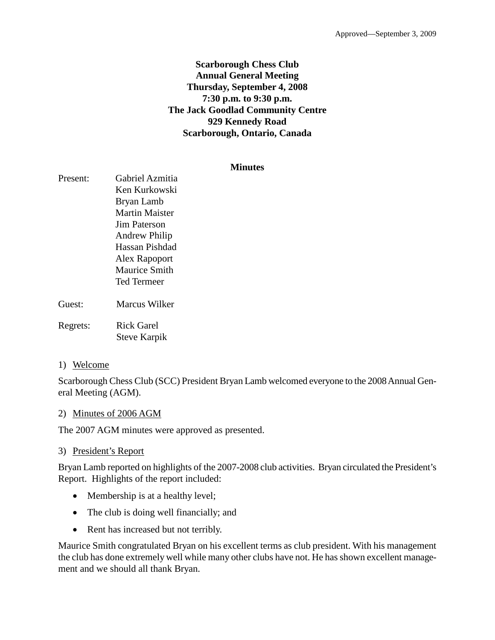## **Scarborough Chess Club Annual General Meeting Thursday, September 4, 2008 7:30 p.m. to 9:30 p.m. The Jack Goodlad Community Centre 929 Kennedy Road Scarborough, Ontario, Canada**

#### **Minutes**

| Present: | <b>Gabriel Azmitia</b><br>Ken Kurkowski<br>Bryan Lamb<br><b>Martin Maister</b><br>Jim Paterson<br>Andrew Philip<br>Hassan Pishdad<br>Alex Rapoport<br><b>Maurice Smith</b><br>Ted Termeer |  |
|----------|-------------------------------------------------------------------------------------------------------------------------------------------------------------------------------------------|--|
| Guest:   | <b>Marcus Wilker</b>                                                                                                                                                                      |  |
| Regrets: | <b>Rick Garel</b><br><b>Steve Karpik</b>                                                                                                                                                  |  |

#### 1) Welcome

Scarborough Chess Club (SCC) President Bryan Lamb welcomed everyone to the 2008 Annual General Meeting (AGM).

#### 2) Minutes of 2006 AGM

The 2007 AGM minutes were approved as presented.

#### 3) President's Report

Bryan Lamb reported on highlights of the 2007-2008 club activities. Bryan circulated the President's Report. Highlights of the report included:

- Membership is at a healthy level;
- The club is doing well financially; and
- Rent has increased but not terribly.

Maurice Smith congratulated Bryan on his excellent terms as club president. With his management the club has done extremely well while many other clubs have not. He has shown excellent management and we should all thank Bryan.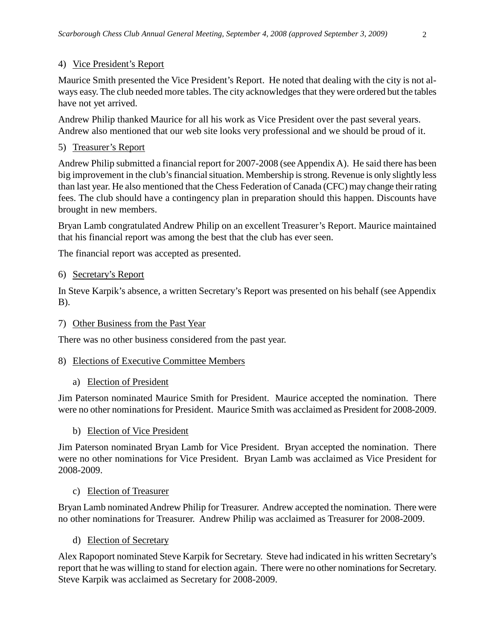## 4) Vice President's Report

Maurice Smith presented the Vice President's Report. He noted that dealing with the city is not always easy. The club needed more tables. The city acknowledges that they were ordered but the tables have not yet arrived.

Andrew Philip thanked Maurice for all his work as Vice President over the past several years. Andrew also mentioned that our web site looks very professional and we should be proud of it.

### 5) Treasurer's Report

Andrew Philip submitted a financial report for 2007-2008 (see Appendix A). He said there has been big improvement in the club's financial situation. Membership is strong. Revenue is only slightly less than last year. He also mentioned that the Chess Federation of Canada (CFC) may change their rating fees. The club should have a contingency plan in preparation should this happen. Discounts have brought in new members.

Bryan Lamb congratulated Andrew Philip on an excellent Treasurer's Report. Maurice maintained that his financial report was among the best that the club has ever seen.

The financial report was accepted as presented.

#### 6) Secretary's Report

In Steve Karpik's absence, a written Secretary's Report was presented on his behalf (see Appendix B).

#### 7) Other Business from the Past Year

There was no other business considered from the past year.

#### 8) Elections of Executive Committee Members

#### a) Election of President

Jim Paterson nominated Maurice Smith for President. Maurice accepted the nomination. There were no other nominations for President. Maurice Smith was acclaimed as President for 2008-2009.

#### b) Election of Vice President

Jim Paterson nominated Bryan Lamb for Vice President. Bryan accepted the nomination. There were no other nominations for Vice President. Bryan Lamb was acclaimed as Vice President for 2008-2009.

#### c) Election of Treasurer

Bryan Lamb nominated Andrew Philip for Treasurer. Andrew accepted the nomination. There were no other nominations for Treasurer. Andrew Philip was acclaimed as Treasurer for 2008-2009.

#### d) Election of Secretary

Alex Rapoport nominated Steve Karpik for Secretary. Steve had indicated in his written Secretary's report that he was willing to stand for election again. There were no other nominations for Secretary. Steve Karpik was acclaimed as Secretary for 2008-2009.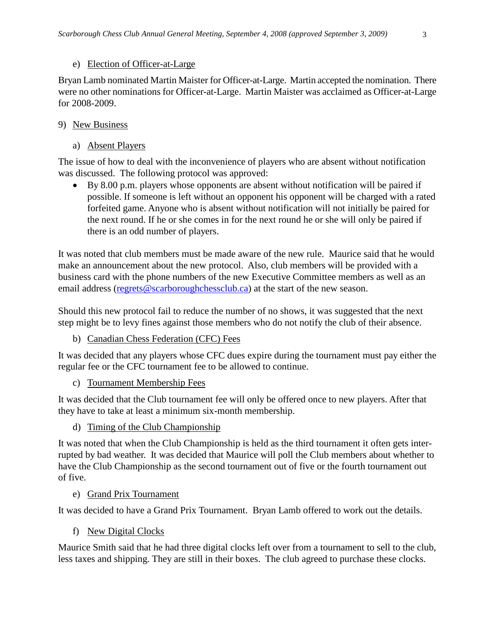#### e) Election of Officer-at-Large

Bryan Lamb nominated Martin Maister for Officer-at-Large. Martin accepted the nomination. There were no other nominations for Officer-at-Large. Martin Maister was acclaimed as Officer-at-Large for 2008-2009.

### 9) New Business

a) Absent Players

The issue of how to deal with the inconvenience of players who are absent without notification was discussed. The following protocol was approved:

• By 8.00 p.m. players whose opponents are absent without notification will be paired if possible. If someone is left without an opponent his opponent will be charged with a rated forfeited game. Anyone who is absent without notification will not initially be paired for the next round. If he or she comes in for the next round he or she will only be paired if there is an odd number of players.

It was noted that club members must be made aware of the new rule. Maurice said that he would make an announcement about the new protocol. Also, club members will be provided with a business card with the phone numbers of the new Executive Committee members as well as an email address [\(regrets@scarboroughchessclub.ca\)](mailto:regrets@scarboroughchessclub.ca) at the start of the new season.

Should this new protocol fail to reduce the number of no shows, it was suggested that the next step might be to levy fines against those members who do not notify the club of their absence.

b) Canadian Chess Federation (CFC) Fees

It was decided that any players whose CFC dues expire during the tournament must pay either the regular fee or the CFC tournament fee to be allowed to continue.

c) Tournament Membership Fees

It was decided that the Club tournament fee will only be offered once to new players. After that they have to take at least a minimum six-month membership.

d) Timing of the Club Championship

It was noted that when the Club Championship is held as the third tournament it often gets interrupted by bad weather. It was decided that Maurice will poll the Club members about whether to have the Club Championship as the second tournament out of five or the fourth tournament out of five.

e) Grand Prix Tournament

It was decided to have a Grand Prix Tournament. Bryan Lamb offered to work out the details.

f) New Digital Clocks

Maurice Smith said that he had three digital clocks left over from a tournament to sell to the club, less taxes and shipping. They are still in their boxes. The club agreed to purchase these clocks.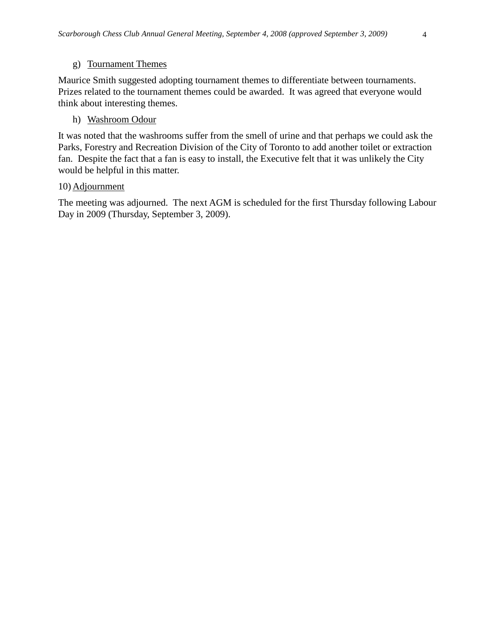## g) Tournament Themes

Maurice Smith suggested adopting tournament themes to differentiate between tournaments. Prizes related to the tournament themes could be awarded. It was agreed that everyone would think about interesting themes.

## h) Washroom Odour

It was noted that the washrooms suffer from the smell of urine and that perhaps we could ask the Parks, Forestry and Recreation Division of the City of Toronto to add another toilet or extraction fan. Despite the fact that a fan is easy to install, the Executive felt that it was unlikely the City would be helpful in this matter.

## 10) Adjournment

The meeting was adjourned. The next AGM is scheduled for the first Thursday following Labour Day in 2009 (Thursday, September 3, 2009).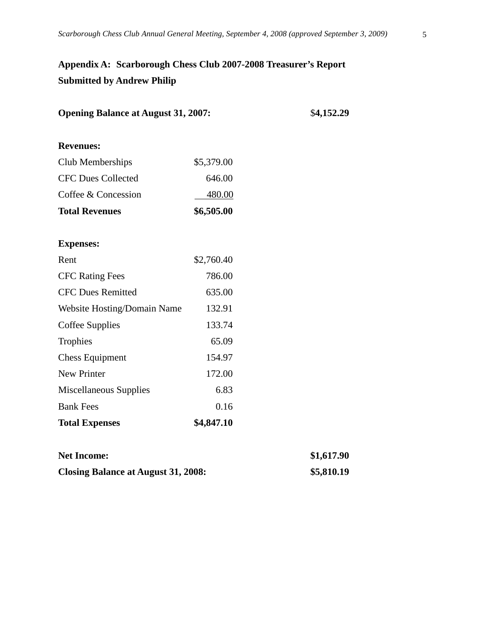# **Appendix A: Scarborough Chess Club 2007-2008 Treasurer's Report Submitted by Andrew Philip**

| <b>Opening Balance at August 31, 2007:</b> | \$4,152.29 |            |
|--------------------------------------------|------------|------------|
| <b>Revenues:</b>                           |            |            |
| Club Memberships                           | \$5,379.00 |            |
| <b>CFC Dues Collected</b>                  | 646.00     |            |
| Coffee & Concession                        | 480.00     |            |
| <b>Total Revenues</b>                      | \$6,505.00 |            |
| <b>Expenses:</b>                           |            |            |
| Rent                                       | \$2,760.40 |            |
| <b>CFC Rating Fees</b>                     | 786.00     |            |
| <b>CFC Dues Remitted</b>                   | 635.00     |            |
| Website Hosting/Domain Name                | 132.91     |            |
| Coffee Supplies                            | 133.74     |            |
| Trophies                                   | 65.09      |            |
| <b>Chess Equipment</b>                     | 154.97     |            |
| New Printer                                | 172.00     |            |
| Miscellaneous Supplies                     | 6.83       |            |
| <b>Bank Fees</b>                           | 0.16       |            |
| <b>Total Expenses</b>                      | \$4,847.10 |            |
| <b>Net Income:</b>                         |            | \$1,617.90 |
| <b>Closing Balance at August 31, 2008:</b> | \$5,810.19 |            |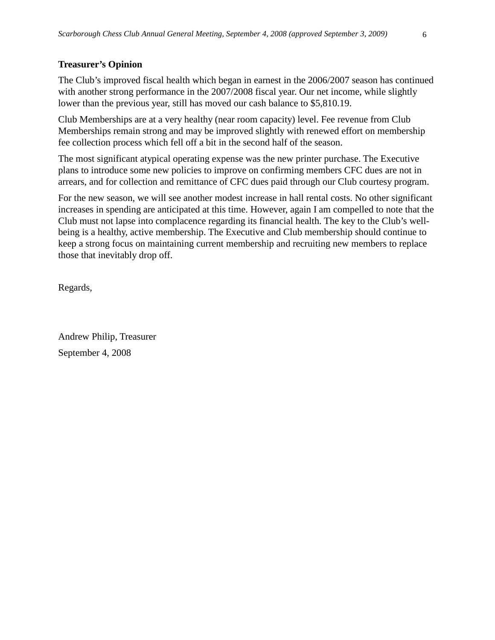## **Treasurer's Opinion**

The Club's improved fiscal health which began in earnest in the 2006/2007 season has continued with another strong performance in the 2007/2008 fiscal year. Our net income, while slightly lower than the previous year, still has moved our cash balance to \$5,810.19.

Club Memberships are at a very healthy (near room capacity) level. Fee revenue from Club Memberships remain strong and may be improved slightly with renewed effort on membership fee collection process which fell off a bit in the second half of the season.

The most significant atypical operating expense was the new printer purchase. The Executive plans to introduce some new policies to improve on confirming members CFC dues are not in arrears, and for collection and remittance of CFC dues paid through our Club courtesy program.

For the new season, we will see another modest increase in hall rental costs. No other significant increases in spending are anticipated at this time. However, again I am compelled to note that the Club must not lapse into complacence regarding its financial health. The key to the Club's wellbeing is a healthy, active membership. The Executive and Club membership should continue to keep a strong focus on maintaining current membership and recruiting new members to replace those that inevitably drop off.

Regards,

Andrew Philip, Treasurer September 4, 2008